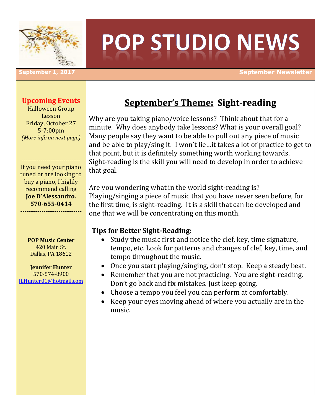

# **POP STUDIO NEWS**

**September 1, 2017 September Newsletter**

### **Upcoming Events**

Halloween Group Lesson Friday, October 27 5-7:00pm *(More info on next page)*

If you need your piano tuned or are looking to buy a piano, I highly recommend calling **Joe D'Alessandro. 570-655-0414**

**-----------------------------**

----------------------------

**POP Music Center** 420 Main St. Dallas, PA 18612

**Jennifer Hunter** 570-574-8900 [JLHunter01@hotmail.com](mailto:JLHunter01@hotmail.com)

## **September's Theme: Sight-reading**

Why are you taking piano/voice lessons? Think about that for a minute. Why does anybody take lessons? What is your overall goal? Many people say they want to be able to pull out any piece of music and be able to play/sing it. I won't lie…it takes a lot of practice to get to that point, but it is definitely something worth working towards. Sight-reading is the skill you will need to develop in order to achieve that goal.

Are you wondering what in the world sight-reading is? Playing/singing a piece of music that you have never seen before, for the first time, is sight-reading. It is a skill that can be developed and one that we will be concentrating on this month.

## **Tips for Better Sight-Reading:**

- Study the music first and notice the clef, key, time signature, tempo, etc. Look for patterns and changes of clef, key, time, and tempo throughout the music.
- Once you start playing/singing, don't stop. Keep a steady beat.
- Remember that you are not practicing. You are sight-reading. Don't go back and fix mistakes. Just keep going.
- Choose a tempo you feel you can perform at comfortably.
- Keep your eyes moving ahead of where you actually are in the music.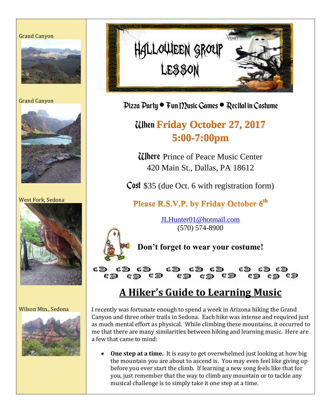#### Grand Canyon



Grand Canyon



West Fork, Sedona



#### Wilson Mtn., Sedona





Pizza Party · Fun I ?? usic Games · Recital in Costume

# When **Friday October 27, 2017 5:00-7:00pm**

**Ulhere** Prince of Peace Music Center 420 Main St., Dallas, PA 18612

Cost \$35 (due Oct. 6 with registration form)

Please R.S.V.P. by Friday October 6<sup>th</sup>

[JLHunter01@hotmail.com](mailto:JLHunter01@hotmail.com) (570) 574-8900



**Don't forget to wear your costume!**

( )  $\blacksquare$ ( 20 ( ) ( 200 (# )  $C_1$   $\gg 0$ (# ) 嘴 滋 (# 259 (常 添)  $\alpha \gg$ ● ※ **端 ※9** 

## **A Hiker's Guide to Learning Music**

I recently was fortunate enough to spend a week in Arizona hiking the Grand Canyon and three other trails in Sedona. Each hike was intense and required just as much mental effort as physical. While climbing these mountains, it occurred to me that there are many similarities between hiking and learning music. Here are a few that came to mind:

 **One step at a time.** It is easy to get overwhelmed just looking at how big the mountain you are about to ascend is. You may even feel like giving up before you ever start the climb. If learning a new song feels like that for you, just remember that the way to climb any mountain or to tackle any musical challenge is to simply take it one step at a time.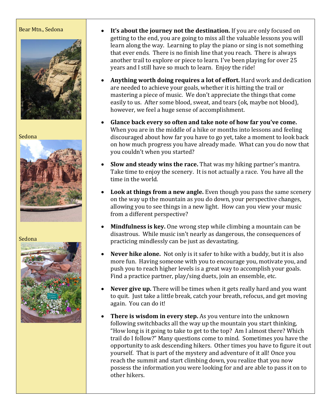#### Bear Mtn., Sedona



Sedona



Sedona



- **It's about the journey not the destination.** If you are only focused on getting to the end, you are going to miss all the valuable lessons you will learn along the way. Learning to play the piano or sing is not something that ever ends. There is no finish line that you reach. There is always another trail to explore or piece to learn. I've been playing for over 25 years and I still have so much to learn. Enjoy the ride!
- **Anything worth doing requires a lot of effort.** Hard work and dedication are needed to achieve your goals, whether it is hitting the trail or mastering a piece of music. We don't appreciate the things that come easily to us. After some blood, sweat, and tears (ok, maybe not blood), however, we feel a huge sense of accomplishment.
- **Glance back every so often and take note of how far you've come.** When you are in the middle of a hike or months into lessons and feeling discouraged about how far you have to go yet, take a moment to look back on how much progress you have already made. What can you do now that you couldn't when you started?
- **Slow and steady wins the race.** That was my hiking partner's mantra. Take time to enjoy the scenery. It is not actually a race. You have all the time in the world.
- **Look at things from a new angle.** Even though you pass the same scenery on the way up the mountain as you do down, your perspective changes, allowing you to see things in a new light. How can you view your music from a different perspective?
- **Mindfulness is key.** One wrong step while climbing a mountain can be disastrous. While music isn't nearly as dangerous, the consequences of practicing mindlessly can be just as devastating.
- **Never hike alone.** Not only is it safer to hike with a buddy, but it is also more fun. Having someone with you to encourage you, motivate you, and push you to reach higher levels is a great way to accomplish your goals. Find a practice partner, play/sing duets, join an ensemble, etc.
- **Never give up.** There will be times when it gets really hard and you want to quit. Just take a little break, catch your breath, refocus, and get moving again. You can do it!
- **There is wisdom in every step.** As you venture into the unknown following switchbacks all the way up the mountain you start thinking, "How long is it going to take to get to the top? Am I almost there? Which trail do I follow?" Many questions come to mind. Sometimes you have the opportunity to ask descending hikers. Other times you have to figure it out yourself. That is part of the mystery and adventure of it all! Once you reach the summit and start climbing down, you realize that you now possess the information you were looking for and are able to pass it on to other hikers.